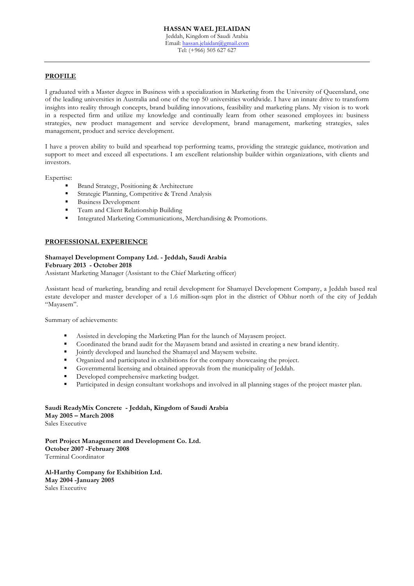# **PROFILE**

I graduated with a Master degree in Business with a specialization in Marketing from the University of Queensland, one of the leading universities in Australia and one of the top 50 universities worldwide. I have an innate drive to transform insights into reality through concepts, brand building innovations, feasibility and marketing plans. My vision is to work in a respected firm and utilize my knowledge and continually learn from other seasoned employees in: business strategies, new product management and service development, brand management, marketing strategies, sales management, product and service development.

I have a proven ability to build and spearhead top performing teams, providing the strategic guidance, motivation and support to meet and exceed all expectations. I am excellent relationship builder within organizations, with clients and investors.

Expertise:

- § Brand Strategy, Positioning & Architecture
- § Strategic Planning, Competitive & Trend Analysis
- § Business Development
- Team and Client Relationship Building
- Integrated Marketing Communications, Merchandising & Promotions.

## **PROFESSIONAL EXPERIENCE**

#### **Shamayel Development Company Ltd. - Jeddah, Saudi Arabia February 2013 - October 2018**

Assistant Marketing Manager (Assistant to the Chief Marketing officer)

Assistant head of marketing, branding and retail development for Shamayel Development Company, a Jeddah based real estate developer and master developer of a 1.6 million-sqm plot in the district of Obhur north of the city of Jeddah "Mayasem".

Summary of achievements:

- Assisted in developing the Marketing Plan for the launch of Mayasem project.
- § Coordinated the brand audit for the Mayasem brand and assisted in creating a new brand identity.
- § Jointly developed and launched the Shamayel and Maysem website.
- § Organized and participated in exhibitions for the company showcasing the project.
- § Governmental licensing and obtained approvals from the municipality of Jeddah.
- Developed comprehensive marketing budget.
- Participated in design consultant workshops and involved in all planning stages of the project master plan.

#### **Saudi ReadyMix Concrete - Jeddah, Kingdom of Saudi Arabia May 2005 – March 2008** Sales Executive

**Port Project Management and Development Co. Ltd. October 2007 -February 2008**  Terminal Coordinator

**Al-Harthy Company for Exhibition Ltd. May 2004 -January 2005** Sales Executive